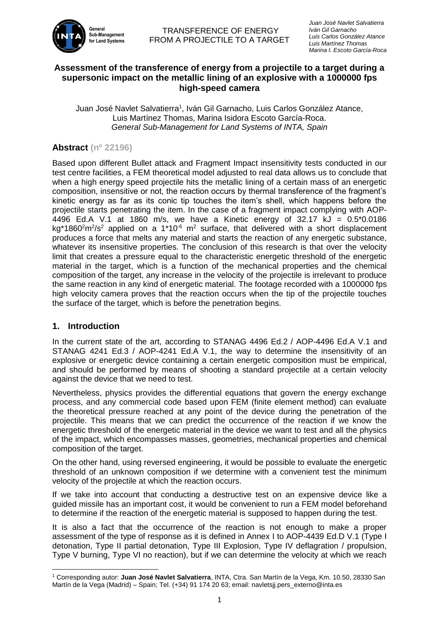

# **Assessment of the transference of energy from a projectile to a target during a supersonic impact on the metallic lining of an explosive with a 1000000 fps high-speed camera**

Juan José Navlet Salvatierra<sup>1</sup>, Iván Gil Garnacho, Luis Carlos González Atance, Luis Martínez Thomas, Marina Isidora Escoto García-Roca. *General Sub-Management for Land Systems of INTA, Spain*

# **Abstract (nº 22196)**

Based upon different Bullet attack and Fragment Impact insensitivity tests conducted in our test centre facilities, a FEM theoretical model adjusted to real data allows us to conclude that when a high energy speed projectile hits the metallic lining of a certain mass of an energetic composition, insensitive or not, the reaction occurs by thermal transference of the fragment's kinetic energy as far as its conic tip touches the item's shell, which happens before the projectile starts penetrating the item. In the case of a fragment impact complying with AOP-4496 Ed.A V.1 at 1860 m/s, we have a Kinetic energy of 32.17 kJ = 0.5\*0.0186 kg\*1860<sup>2</sup>m<sup>2</sup>/s<sup>2</sup> applied on a 1\*10<sup>-6</sup> m<sup>2</sup> surface, that delivered with a short displacement produces a force that melts any material and starts the reaction of any energetic substance, whatever its insensitive properties. The conclusion of this research is that over the velocity limit that creates a pressure equal to the characteristic energetic threshold of the energetic material in the target, which is a function of the mechanical properties and the chemical composition of the target, any increase in the velocity of the projectile is irrelevant to produce the same reaction in any kind of energetic material. The footage recorded with a 1000000 fps high velocity camera proves that the reaction occurs when the tip of the projectile touches the surface of the target, which is before the penetration begins.

# **1. Introduction**

In the current state of the art, according to STANAG 4496 Ed.2 / AOP-4496 Ed.A V.1 and STANAG 4241 Ed.3 / AOP-4241 Ed.A V.1, the way to determine the insensitivity of an explosive or energetic device containing a certain energetic composition must be empirical, and should be performed by means of shooting a standard projectile at a certain velocity against the device that we need to test.

Nevertheless, physics provides the differential equations that govern the energy exchange process, and any commercial code based upon FEM (finite element method) can evaluate the theoretical pressure reached at any point of the device during the penetration of the projectile. This means that we can predict the occurrence of the reaction if we know the energetic threshold of the energetic material in the device we want to test and all the physics of the impact, which encompasses masses, geometries, mechanical properties and chemical composition of the target.

On the other hand, using reversed engineering, it would be possible to evaluate the energetic threshold of an unknown composition if we determine with a convenient test the minimum velocity of the projectile at which the reaction occurs.

If we take into account that conducting a destructive test on an expensive device like a guided missile has an important cost, it would be convenient to run a FEM model beforehand to determine if the reaction of the energetic material is supposed to happen during the test.

It is also a fact that the occurrence of the reaction is not enough to make a proper assessment of the type of response as it is defined in Annex I to AOP-4439 Ed.D V.1 (Type I detonation, Type II partial detonation, Type III Explosion, Type IV deflagration / propulsion, Type V burning, Type VI no reaction), but if we can determine the velocity at which we reach

 $\overline{\phantom{a}}$ <sup>1</sup> Corresponding autor: **Juan José Navlet Salvatierra**, INTA, Ctra. San Martín de la Vega, Km. 10.50, 28330 San Martín de la Vega (Madrid) – Spain; Tel. (+34) 91 174 20 63; email: navletsjj.pers\_externo@inta.es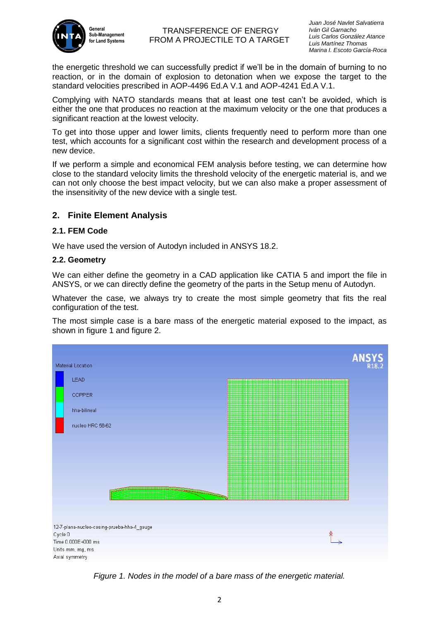

the energetic threshold we can successfully predict if we'll be in the domain of burning to no reaction, or in the domain of explosion to detonation when we expose the target to the standard velocities prescribed in AOP-4496 Ed.A V.1 and AOP-4241 Ed.A V.1.

Complying with NATO standards means that at least one test can't be avoided, which is either the one that produces no reaction at the maximum velocity or the one that produces a significant reaction at the lowest velocity.

To get into those upper and lower limits, clients frequently need to perform more than one test, which accounts for a significant cost within the research and development process of a new device.

If we perform a simple and economical FEM analysis before testing, we can determine how close to the standard velocity limits the threshold velocity of the energetic material is, and we can not only choose the best impact velocity, but we can also make a proper assessment of the insensitivity of the new device with a single test.

# **2. Finite Element Analysis**

#### **2.1. FEM Code**

We have used the version of Autodyn included in ANSYS 18.2.

#### **2.2. Geometry**

We can either define the geometry in a CAD application like CATIA 5 and import the file in ANSYS, or we can directly define the geometry of the parts in the Setup menu of Autodyn.

Whatever the case, we always try to create the most simple geometry that fits the real configuration of the test.

The most simple case is a bare mass of the energetic material exposed to the impact, as shown in figure 1 and figure 2.



*Figure 1. Nodes in the model of a bare mass of the energetic material.*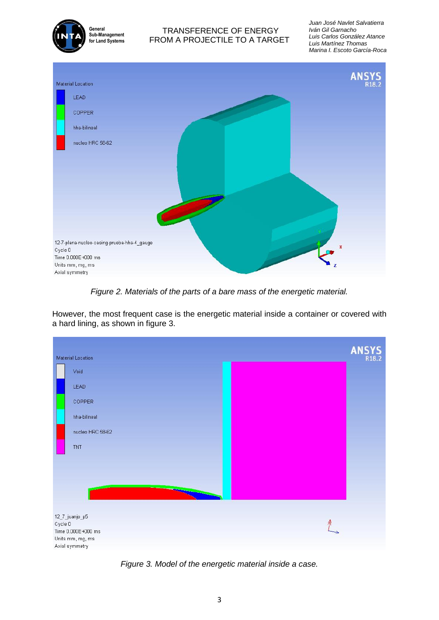

*Juan José Navlet Salvatierra Iván Gil Garnacho Luis Carlos González Atance Luis Martínez Thomas Marina I. Escoto García-Roca*



*Figure 2. Materials of the parts of a bare mass of the energetic material.*

However, the most frequent case is the energetic material inside a container or covered with a hard lining, as shown in figure 3.



*Figure 3. Model of the energetic material inside a case.*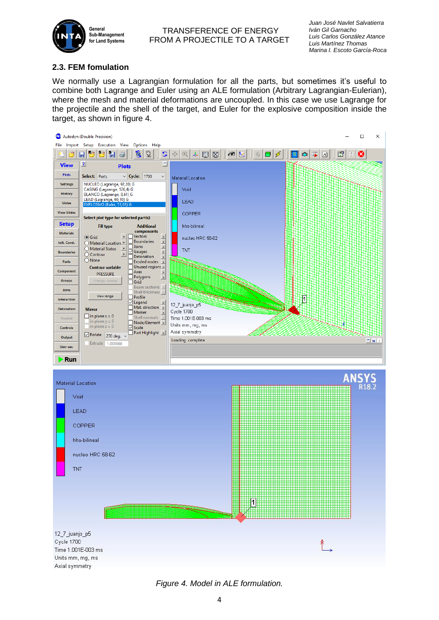

# **2.3. FEM fomulation**

We normally use a Lagrangian formulation for all the parts, but sometimes it's useful to combine both Lagrange and Euler using an ALE formulation (Arbitrary Lagrangian-Eulerian), where the mesh and material deformations are uncoupled. In this case we use Lagrange for the projectile and the shell of the target, and Euler for the explosive composition inside the target, as shown in figure 4.



*Figure 4. Model in ALE formulation.*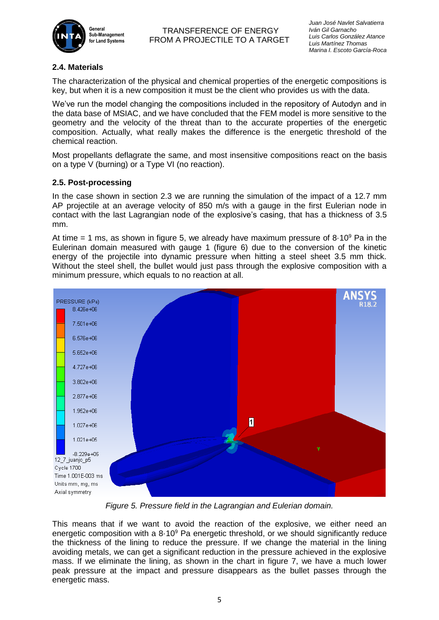

## **2.4. Materials**

The characterization of the physical and chemical properties of the energetic compositions is key, but when it is a new composition it must be the client who provides us with the data.

We've run the model changing the compositions included in the repository of Autodyn and in the data base of MSIAC, and we have concluded that the FEM model is more sensitive to the geometry and the velocity of the threat than to the accurate properties of the energetic composition. Actually, what really makes the difference is the energetic threshold of the chemical reaction.

Most propellants deflagrate the same, and most insensitive compositions react on the basis on a type V (burning) or a Type VI (no reaction).

#### **2.5. Post-processing**

In the case shown in section 2.3 we are running the simulation of the impact of a 12.7 mm AP projectile at an average velocity of 850 m/s with a gauge in the first Eulerian node in contact with the last Lagrangian node of the explosive's casing, that has a thickness of 3.5 mm.

At time = 1 ms, as shown in figure 5, we already have maximum pressure of  $8.10^9$  Pa in the Eulerinan domain measured with gauge 1 (figure 6) due to the conversion of the kinetic energy of the projectile into dynamic pressure when hitting a steel sheet 3.5 mm thick. Without the steel shell, the bullet would just pass through the explosive composition with a minimum pressure, which equals to no reaction at all.



*Figure 5. Pressure field in the Lagrangian and Eulerian domain.*

This means that if we want to avoid the reaction of the explosive, we either need an energetic composition with a  $8.10<sup>9</sup>$  Pa energetic threshold, or we should significantly reduce the thickness of the lining to reduce the pressure. If we change the material in the lining avoiding metals, we can get a significant reduction in the pressure achieved in the explosive mass. If we eliminate the lining, as shown in the chart in figure 7, we have a much lower peak pressure at the impact and pressure disappears as the bullet passes through the energetic mass.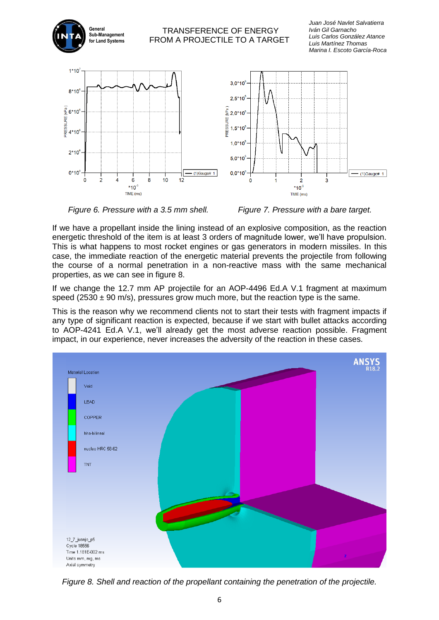

*Figure 6. Pressure with a 3.5 mm shell.* Figure 7. Pressure with a bare target.

If we have a propellant inside the lining instead of an explosive composition, as the reaction energetic threshold of the item is at least 3 orders of magnitude lower, we'll have propulsion. This is what happens to most rocket engines or gas generators in modern missiles. In this case, the immediate reaction of the energetic material prevents the projectile from following the course of a normal penetration in a non-reactive mass with the same mechanical properties, as we can see in figure 8.

If we change the 12.7 mm AP projectile for an AOP-4496 Ed.A V.1 fragment at maximum speed ( $2530 \pm 90$  m/s), pressures grow much more, but the reaction type is the same.

This is the reason why we recommend clients not to start their tests with fragment impacts if any type of significant reaction is expected, because if we start with bullet attacks according to AOP-4241 Ed.A V.1, we'll already get the most adverse reaction possible. Fragment impact, in our experience, never increases the adversity of the reaction in these cases.



*Figure 8. Shell and reaction of the propellant containing the penetration of the projectile.*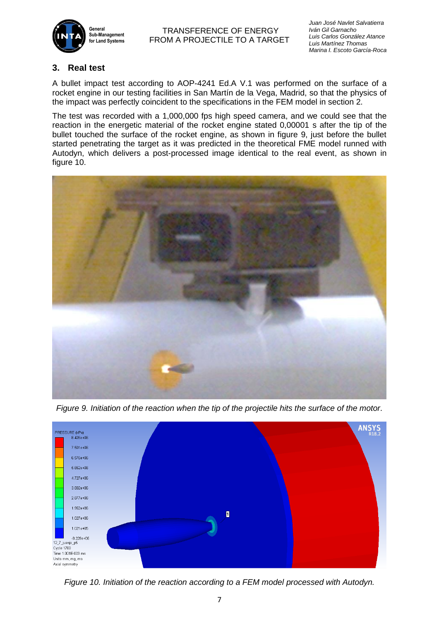

*Juan José Navlet Salvatierra Iván Gil Garnacho Luis Carlos González Atance Luis Martínez Thomas Marina I. Escoto García-Roca*

# **3. Real test**

A bullet impact test according to AOP-4241 Ed.A V.1 was performed on the surface of a rocket engine in our testing facilities in San Martín de la Vega, Madrid, so that the physics of the impact was perfectly coincident to the specifications in the FEM model in section 2.

The test was recorded with a 1,000,000 fps high speed camera, and we could see that the reaction in the energetic material of the rocket engine stated 0,00001 s after the tip of the bullet touched the surface of the rocket engine, as shown in figure 9, just before the bullet started penetrating the target as it was predicted in the theoretical FME model runned with Autodyn, which delivers a post-processed image identical to the real event, as shown in figure 10.



*Figure 9. Initiation of the reaction when the tip of the projectile hits the surface of the motor.*



*Figure 10. Initiation of the reaction according to a FEM model processed with Autodyn.*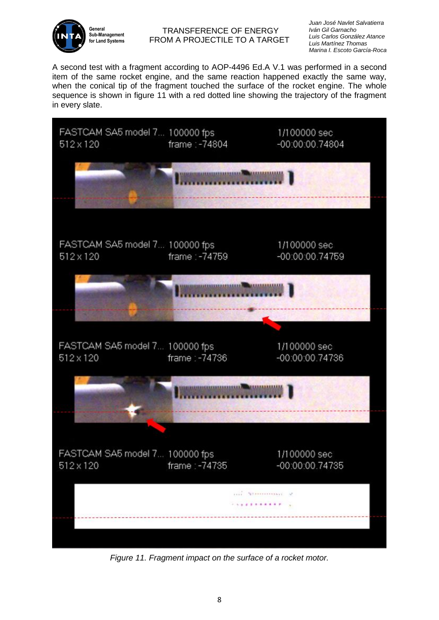

*Juan José Navlet Salvatierra Iván Gil Garnacho Luis Carlos González Atance Luis Martínez Thomas Marina I. Escoto García-Roca*

A second test with a fragment according to AOP-4496 Ed.A V.1 was performed in a second item of the same rocket engine, and the same reaction happened exactly the same way, when the conical tip of the fragment touched the surface of the rocket engine. The whole sequence is shown in figure 11 with a red dotted line showing the trajectory of the fragment in every slate.



*Figure 11. Fragment impact on the surface of a rocket motor.*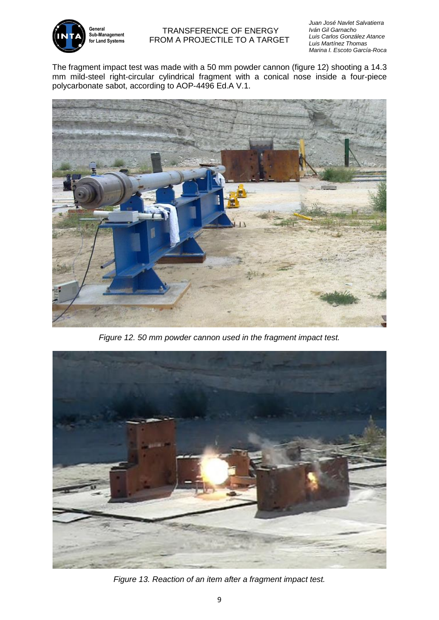

*Juan José Navlet Salvatierra Iván Gil Garnacho Luis Carlos González Atance Luis Martínez Thomas Marina I. Escoto García-Roca*

The fragment impact test was made with a 50 mm powder cannon (figure 12) shooting a 14.3 mm mild-steel right-circular cylindrical fragment with a conical nose inside a four-piece polycarbonate sabot, according to AOP-4496 Ed.A V.1.



*Figure 12. 50 mm powder cannon used in the fragment impact test.*



*Figure 13. Reaction of an item after a fragment impact test.*